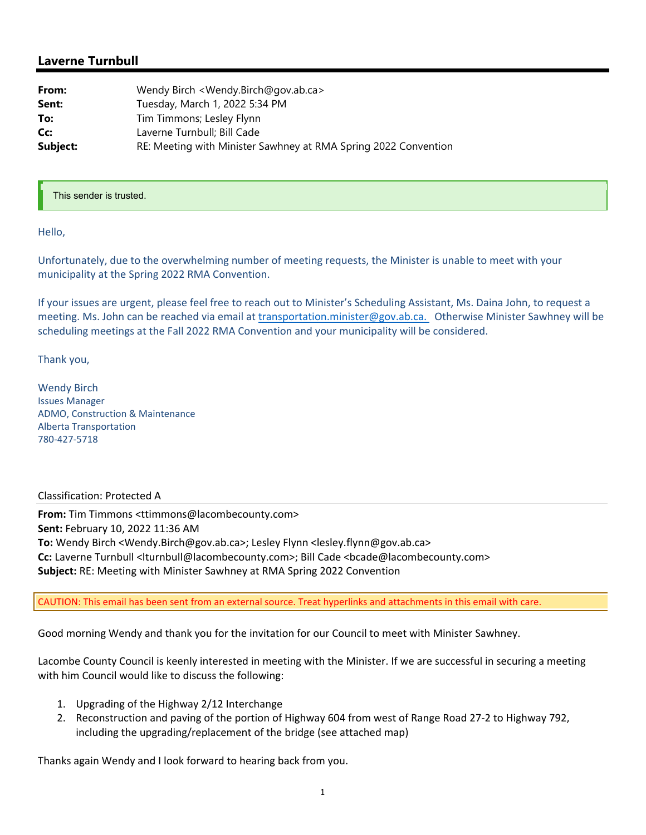## **Laverne Turnbull**

| From:    | Wendy Birch < Wendy.Birch@gov.ab.ca>                            |
|----------|-----------------------------------------------------------------|
| Sent:    | Tuesday, March 1, 2022 5:34 PM                                  |
| To:      | Tim Timmons; Lesley Flynn                                       |
| Cc:      | Laverne Turnbull; Bill Cade                                     |
| Subject: | RE: Meeting with Minister Sawhney at RMA Spring 2022 Convention |

## This sender is trusted.

Hello,

Unfortunately, due to the overwhelming number of meeting requests, the Minister is unable to meet with your municipality at the Spring 2022 RMA Convention.

If your issues are urgent, please feel free to reach out to Minister's Scheduling Assistant, Ms. Daina John, to request a meeting. Ms. John can be reached via email at transportation.minister@gov.ab.ca. Otherwise Minister Sawhney will be scheduling meetings at the Fall 2022 RMA Convention and your municipality will be considered.

Thank you,

Wendy Birch Issues Manager ADMO, Construction & Maintenance Alberta Transportation 780‐427‐5718

## Classification: Protected A

**From:** Tim Timmons <ttimmons@lacombecounty.com> **Sent:** February 10, 2022 11:36 AM **To:** Wendy Birch <Wendy.Birch@gov.ab.ca>; Lesley Flynn <lesley.flynn@gov.ab.ca> **Cc:** Laverne Turnbull <lturnbull@lacombecounty.com>; Bill Cade <bcade@lacombecounty.com> **Subject:** RE: Meeting with Minister Sawhney at RMA Spring 2022 Convention

CAUTION: This email has been sent from an external source. Treat hyperlinks and attachments in this email with care.

Good morning Wendy and thank you for the invitation for our Council to meet with Minister Sawhney.

Lacombe County Council is keenly interested in meeting with the Minister. If we are successful in securing a meeting with him Council would like to discuss the following:

- 1. Upgrading of the Highway 2/12 Interchange
- 2. Reconstruction and paving of the portion of Highway 604 from west of Range Road 27‐2 to Highway 792, including the upgrading/replacement of the bridge (see attached map)

Thanks again Wendy and I look forward to hearing back from you.